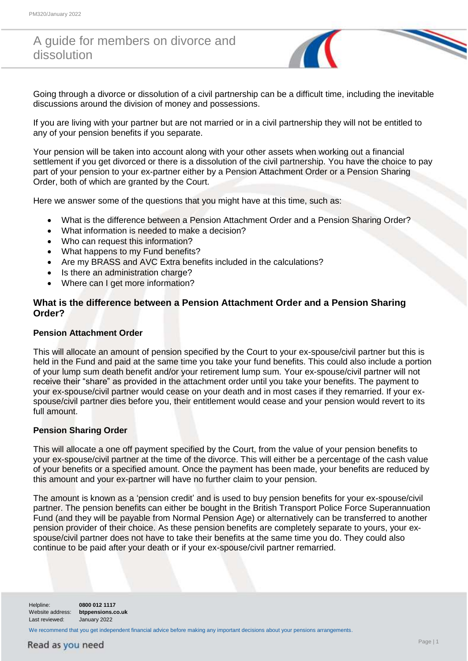# A guide for members on divorce and dissolution

Going through a divorce or dissolution of a civil partnership can be a difficult time, including the inevitable discussions around the division of money and possessions.

If you are living with your partner but are not married or in a civil partnership they will not be entitled to any of your pension benefits if you separate.

Your pension will be taken into account along with your other assets when working out a financial settlement if you get divorced or there is a dissolution of the civil partnership. You have the choice to pay part of your pension to your ex-partner either by a Pension Attachment Order or a Pension Sharing Order, both of which are granted by the Court.

Here we answer some of the questions that you might have at this time, such as:

- What is the difference between a Pension Attachment Order and a Pension Sharing Order?
- What information is needed to make a decision?
- Who can request this information?
- What happens to my Fund benefits?
- Are my BRASS and AVC Extra benefits included in the calculations?
- Is there an administration charge?
- Where can I get more information?

# **What is the difference between a Pension Attachment Order and a Pension Sharing Order?**

#### **Pension Attachment Order**

This will allocate an amount of pension specified by the Court to your ex-spouse/civil partner but this is held in the Fund and paid at the same time you take your fund benefits. This could also include a portion of your lump sum death benefit and/or your retirement lump sum. Your ex-spouse/civil partner will not receive their "share" as provided in the attachment order until you take your benefits. The payment to your ex-spouse/civil partner would cease on your death and in most cases if they remarried. If your exspouse/civil partner dies before you, their entitlement would cease and your pension would revert to its full amount.

### **Pension Sharing Order**

This will allocate a one off payment specified by the Court, from the value of your pension benefits to your ex-spouse/civil partner at the time of the divorce. This will either be a percentage of the cash value of your benefits or a specified amount. Once the payment has been made, your benefits are reduced by this amount and your ex-partner will have no further claim to your pension.

The amount is known as a 'pension credit' and is used to buy pension benefits for your ex-spouse/civil partner. The pension benefits can either be bought in the British Transport Police Force Superannuation Fund (and they will be payable from Normal Pension Age) or alternatively can be transferred to another pension provider of their choice. As these pension benefits are completely separate to yours, your exspouse/civil partner does not have to take their benefits at the same time you do. They could also continue to be paid after your death or if your ex-spouse/civil partner remarried.

Helpline: **0800 012 1117**  Website address: **btppensions.co.uk** Last reviewed: January 2022

We recommend that you get independent financial advice before making any important decisions about your pensions arrangements.

# Read as you need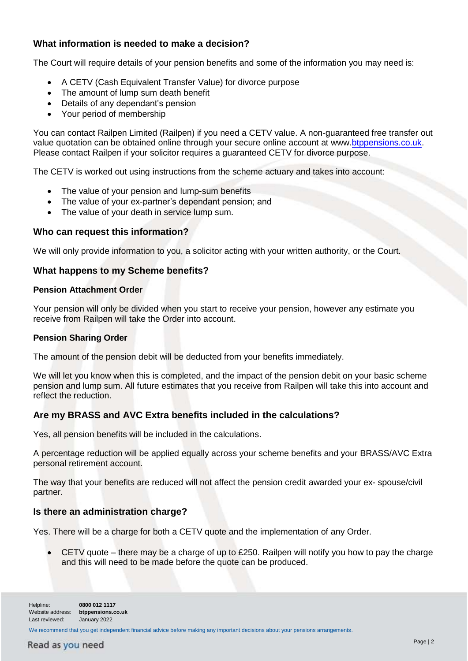# **What information is needed to make a decision?**

The Court will require details of your pension benefits and some of the information you may need is:

- A CETV (Cash Equivalent Transfer Value) for divorce purpose
- The amount of lump sum death benefit
- Details of any dependant's pension
- Your period of membership

You can contact Railpen Limited (Railpen) if you need a CETV value. A non-guaranteed free transfer out value quotation can be obtained online through your secure online account at www[.btppensions.co.uk.](http://btppensions.co.uk/) Please contact Railpen if your solicitor requires a guaranteed CETV for divorce purpose.

The CETV is worked out using instructions from the scheme actuary and takes into account:

- The value of your pension and lump-sum benefits
- The value of your ex-partner's dependant pension; and
- The value of your death in service lump sum.

### **Who can request this information?**

We will only provide information to you, a solicitor acting with your written authority, or the Court.

### **What happens to my Scheme benefits?**

#### **Pension Attachment Order**

Your pension will only be divided when you start to receive your pension, however any estimate you receive from Railpen will take the Order into account.

#### **Pension Sharing Order**

The amount of the pension debit will be deducted from your benefits immediately.

We will let you know when this is completed, and the impact of the pension debit on your basic scheme pension and lump sum. All future estimates that you receive from Railpen will take this into account and reflect the reduction.

# **Are my BRASS and AVC Extra benefits included in the calculations?**

Yes, all pension benefits will be included in the calculations.

A percentage reduction will be applied equally across your scheme benefits and your BRASS/AVC Extra personal retirement account.

The way that your benefits are reduced will not affect the pension credit awarded your ex- spouse/civil partner.

### **Is there an administration charge?**

Yes. There will be a charge for both a CETV quote and the implementation of any Order.

 CETV quote – there may be a charge of up to £250. Railpen will notify you how to pay the charge and this will need to be made before the quote can be produced.

Helpline: **0800 012 1117**  Website address: **btppensions.co.uk** Last reviewed: January 2022

We recommend that you get independent financial advice before making any important decisions about your pensions arrangements.

# Read as you need